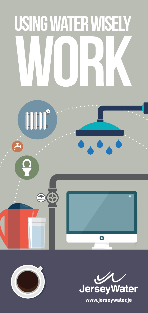





www.jerseywater.je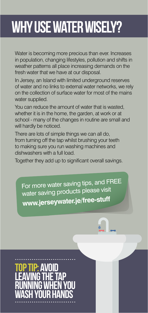### WHY USE WATER WISELY?

Water is becoming more precious than ever. Increases in population, changing lifestyles, pollution and shifts in weather patterns all place increasing demands on the fresh water that we have at our disposal.

In Jersey, an Island with limited underground reserves of water and no links to external water networks, we rely on the collection of surface water for most of the mains water supplied.

You can reduce the amount of water that is wasted, whether it is in the home, the garden, at work or at school - many of the changes in routine are small and will hardly be noticed.

There are lots of simple things we can all do, from turning off the tap whilst brushing your teeth to making sure you run washing machines and dishwashers with a full load.

Together they add up to significant overall savings.

For more water saving tips, and FREE water saving products please visit **www.jerseywater.je/free-stuff** 

### TOP TIP: Avoid leaving the tap running when you wash your hands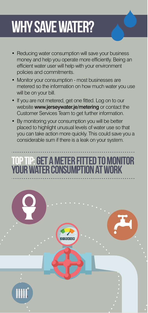## WHY SAVE WATER?

- Reducing water consumption will save your business money and help you operate more efficiently. Being an efficient water user will help with your environment policies and commitments.
- Monitor your consumption most businesses are metered so the information on how much water you use metered so the information on how much water you use metered so the information on how much water you use will be on your bill. **The action of the state** 
	- If you are not metered, get one fitted. Log on to our website www.jerseywater.je/metering or contact the website www.jerseywater.je/metering or contact the<br>Customer Services Team to get further information. services learn to
	- By monitoring your consumption you will be better By monitoring your consumption you will be better By monitoring your consumption you will be better placed to highlight unusual levels of water use so that placed to highlight unusual levels of water use so that placed to highlight unusual levels of water use so that **SHOWERSAVE** you can take action more quickly. This could save you a ,<br>considerable sum if there is a leak on your system. and barrier and bleast control your byblom.

### TOP TIP: GET a meter fitted to monitor TOP TIP: GET a meter fitted to monitor TOP TIP: GET a meter fitted to monitor **SHOWER TIMER YOUR WATER CONSUMPTION AT WORK** bathroom tiles or glass panel to start the four minute

Simply pop this device in to the cistern of your toilet and follows the instructions to save 1 litre of water periodic value 1 litre of water periodic of water period flush. Please note this is not suitable on dual flush, push button or cisterns with a capacity less than 7 litres.

UWW

every shower reduced to four minutes.

w.jerseywater.jp/

**CISTERN BAG**

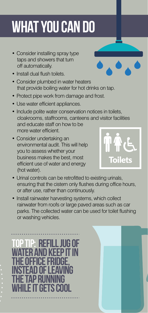# WHAT YOU CAN DO

- Consider installing spray type Consider installing spray type Consider installing spray type taps and showers that turn taps and showers that turn taps and showers that turn off automatically. off automatically. off automatically.
- Install dual flush toilets. Install dual flush toilets. Install dual flush toilets.
- Consider plumbed in water heaters Consider plumbed in water heaters Consider plumbed in water heaters that provide boiling water for hot drinks on tap. that provide boiling water for hot drinks on tap. that provide boiling water for hot drinks on tap. • Consider installing spray type<br>taps and showers that turn<br>off automatically.<br>• Install dual flush toilets.<br>• Consider plumbed in water heaters<br>that provide boiling water for hot drinks on ta<br>• Protect pipe work from dama
	- Protect pipe work from damage and frost. Protect pipe work from damage and frost. Protect pipe work from damage and frost.
	- Use water efficient appliances. Use water efficient appliances. Use water efficient appliances.
	- Include polite water conservation notices in toilets, Include polite water conservation notices in toilets, Include polite water conservation notices in toilets, cloakrooms, staffrooms, canteens and visitor facilities cloakrooms, staffrooms, canteens and visitor facilities cloakrooms, staffrooms, canteens and visitor facilities and educate staff on how to be and educate staff on how to be and educate staff on how to be more water efficient. more water efficient. more water efficient.
	- Consider undertaking an Consider undertaking an Consider undertaking an environmental audit. This will help environmental audit. This will help environmental audit. This will help you to assess whether your you to assess whether your you to assess whether your business makes the best, most business makes the best, most business makes the best, most efficient use of water and energy efficient use of water and energy efficient use of water and energy (hot water). (hot water). (hot water).



• Install rainwater harvesting systems, which collect • Install rainwater harvesting systems, which collect • Install rainwater harvesting systems, which collect rainwater from roofs or large paved areas such as car rainwater from roofs or large paved areas such as car rainwater from roofs or large paved areas such as car parks. The collected water can be used for toilet flushing parks. The collected water can be used for toilet flushing parks. The collected water can be used for toilet flushing or washing vehicles. or washing vehicles. or washing vehicles.



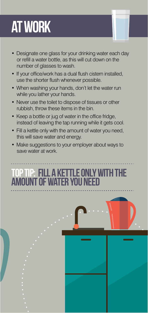## **AT WORK WHY USE WATER**

- Designate one glass for your drinking water each day or refill a water bottle, as this will cut down on the number of glasses to wash. The patterns all place increasing demands on the patterns all place increasing on the
- **•** If your office/work has a dual flush cistern installed, use the shorter flush whenever possible.
- When washing your hands, don't let the water run When washing your hands, don't let the water run while you lather your hands.
- Never use the toilet to dispose of tissues or other rubbish, throw these items in the bin.
- $\bullet\;$  Keep a bottle or jug of water in the office fridge, instead of leaving the tap running while it gets cool. will have not cape
- Fill a kettle only with the amount of water you need, Fill a kettle only with the amount of water you need, Fill a kettle only with the amount of water you need, this will save water and energy.  $f(x)$  from the tap which tap which  $f(x)$  is the tap whilst brushing  $f(x)$
- Make suggestions to your employer about ways to Make suggestions to your employer about ways to Make suggestions to your employer about ways to save water at work. to suggestions to your employer about ways to

### TOP TIP: Fill a kettle only with the TOP TIP: Fill a kettle only with the TOP TIP: Fill a kettle only with the **AMOUNT OF WATER YOU NEED** water saving products products please visit products please visit products please visit products please visit <br>Products please visit products please visit products please visit products please visit products please visit

**www.jerseywater.je/free-stuff** 

TOP TIP: Avoid leaving the tap running when you wash your hands